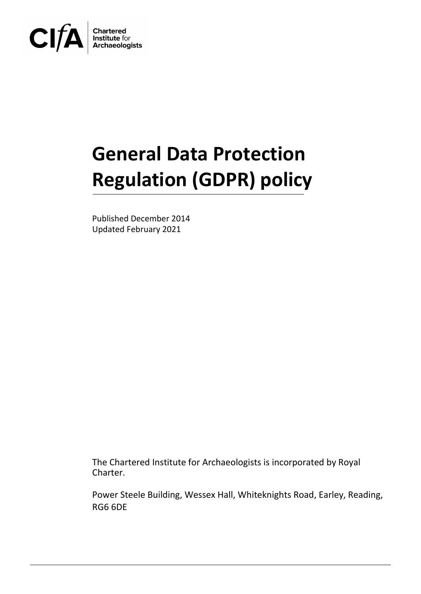

# **General Data Protection Regulation (GDPR) policy**

Published December 2014 Updated February 2021

The Chartered Institute for Archaeologists is incorporated by Royal Charter.

Power Steele Building, Wessex Hall, Whiteknights Road, Earley, Reading, RG6 6DE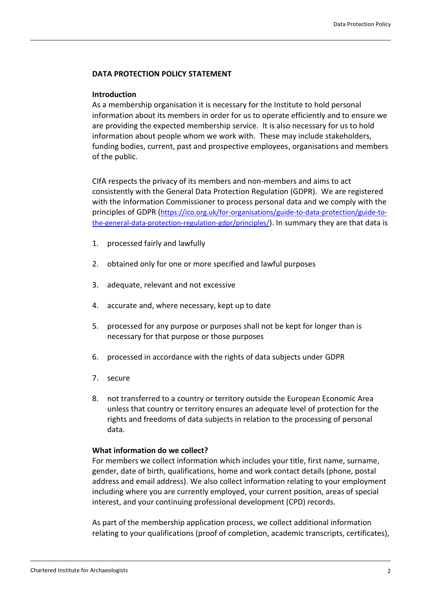## **DATA PROTECTION POLICY STATEMENT**

### **Introduction**

As a membership organisation it is necessary for the Institute to hold personal information about its members in order for us to operate efficiently and to ensure we are providing the expected membership service. It is also necessary for us to hold information about people whom we work with. These may include stakeholders, funding bodies, current, past and prospective employees, organisations and members of the public.

CIfA respects the privacy of its members and non-members and aims to act consistently with the General Data Protection Regulation (GDPR). We are registered with the Information Commissioner to process personal data and we comply with the principles of GDPR ([https://ico.org.uk/for-organisations/guide-to-data-protection/guide-to](https://ico.org.uk/for-organisations/guide-to-data-protection/guide-to-the-general-data-protection-regulation-gdpr/principles/)[the-general-data-protection-regulation-gdpr/principles/](https://ico.org.uk/for-organisations/guide-to-data-protection/guide-to-the-general-data-protection-regulation-gdpr/principles/)). In summary they are that data is

- 1. processed fairly and lawfully
- 2. obtained only for one or more specified and lawful purposes
- 3. adequate, relevant and not excessive
- 4. accurate and, where necessary, kept up to date
- 5. processed for any purpose or purposes shall not be kept for longer than is necessary for that purpose or those purposes
- 6. processed in accordance with the rights of data subjects under GDPR
- 7. secure
- 8. not transferred to a country or territory outside the European Economic Area unless that country or territory ensures an adequate level of protection for the rights and freedoms of data subjects in relation to the processing of personal data.

## **What information do we collect?**

For members we collect information which includes your title, first name, surname, gender, date of birth, qualifications, home and work contact details (phone, postal address and email address). We also collect information relating to your employment including where you are currently employed, your current position, areas of special interest, and your continuing professional development (CPD) records.

As part of the membership application process, we collect additional information relating to your qualifications (proof of completion, academic transcripts, certificates),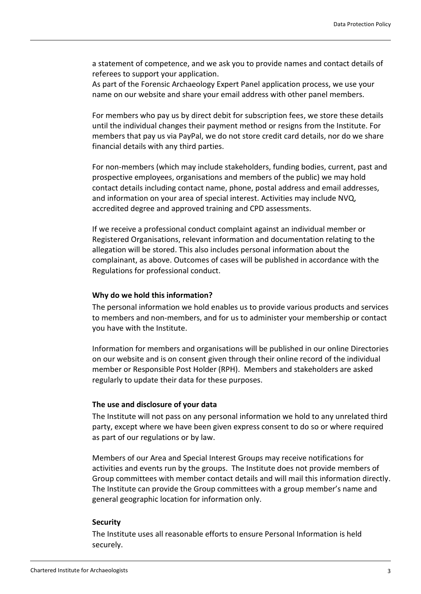a statement of competence, and we ask you to provide names and contact details of referees to support your application.

As part of the Forensic Archaeology Expert Panel application process, we use your name on our website and share your email address with other panel members.

For members who pay us by direct debit for subscription fees, we store these details until the individual changes their payment method or resigns from the Institute. For members that pay us via PayPal, we do not store credit card details, nor do we share financial details with any third parties.

For non-members (which may include stakeholders, funding bodies, current, past and prospective employees, organisations and members of the public) we may hold contact details including contact name, phone, postal address and email addresses, and information on your area of special interest. Activities may include NVQ, accredited degree and approved training and CPD assessments.

If we receive a professional conduct complaint against an individual member or Registered Organisations, relevant information and documentation relating to the allegation will be stored. This also includes personal information about the complainant, as above. Outcomes of cases will be published in accordance with the Regulations for professional conduct.

## **Why do we hold this information?**

The personal information we hold enables us to provide various products and services to members and non-members, and for us to administer your membership or contact you have with the Institute.

Information for members and organisations will be published in our online Directories on our website and is on consent given through their online record of the individual member or Responsible Post Holder (RPH). Members and stakeholders are asked regularly to update their data for these purposes.

#### **The use and disclosure of your data**

The Institute will not pass on any personal information we hold to any unrelated third party, except where we have been given express consent to do so or where required as part of our regulations or by law.

Members of our Area and Special Interest Groups may receive notifications for activities and events run by the groups. The Institute does not provide members of Group committees with member contact details and will mail this information directly. The Institute can provide the Group committees with a group member's name and general geographic location for information only.

## **Security**

The Institute uses all reasonable efforts to ensure Personal Information is held securely.